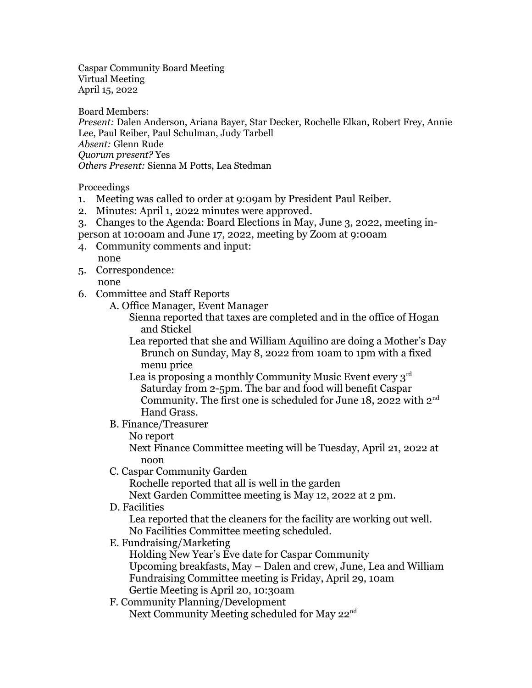Caspar Community Board Meeting Virtual Meeting April 15, 2022

Board Members:

*Present:* Dalen Anderson, Ariana Bayer, Star Decker, Rochelle Elkan, Robert Frey, Annie Lee, Paul Reiber, Paul Schulman, Judy Tarbell *Absent:* Glenn Rude *Quorum present?* Yes *Others Present:* Sienna M Potts, Lea Stedman

Proceedings

- 1. Meeting was called to order at 9:09am by President Paul Reiber.
- 2. Minutes: April 1, 2022 minutes were approved.
- 3. Changes to the Agenda: Board Elections in May, June 3, 2022, meeting in-
- person at 10:00am and June 17, 2022, meeting by Zoom at 9:00am
- 4. Community comments and input: none
- 5. Correspondence: none
- 6. Committee and Staff Reports
	- A. Office Manager, Event Manager
		- Sienna reported that taxes are completed and in the office of Hogan and Stickel
		- Lea reported that she and William Aquilino are doing a Mother's Day Brunch on Sunday, May 8, 2022 from 10am to 1pm with a fixed menu price
		- Lea is proposing a monthly Community Music Event every  $3<sup>rd</sup>$ Saturday from 2-5pm. The bar and food will benefit Caspar Community. The first one is scheduled for June 18, 2022 with  $2^{nd}$ Hand Grass.
	- B. Finance/Treasurer
		- No report

Next Finance Committee meeting will be Tuesday, April 21, 2022 at noon

C. Caspar Community Garden

Rochelle reported that all is well in the garden

Next Garden Committee meeting is May 12, 2022 at 2 pm.

D. Facilities

Lea reported that the cleaners for the facility are working out well. No Facilities Committee meeting scheduled.

E. Fundraising/Marketing

Holding New Year's Eve date for Caspar Community Upcoming breakfasts, May – Dalen and crew, June, Lea and William Fundraising Committee meeting is Friday, April 29, 10am Gertie Meeting is April 20, 10:30am

F. Community Planning/Development

Next Community Meeting scheduled for May 22<sup>nd</sup>